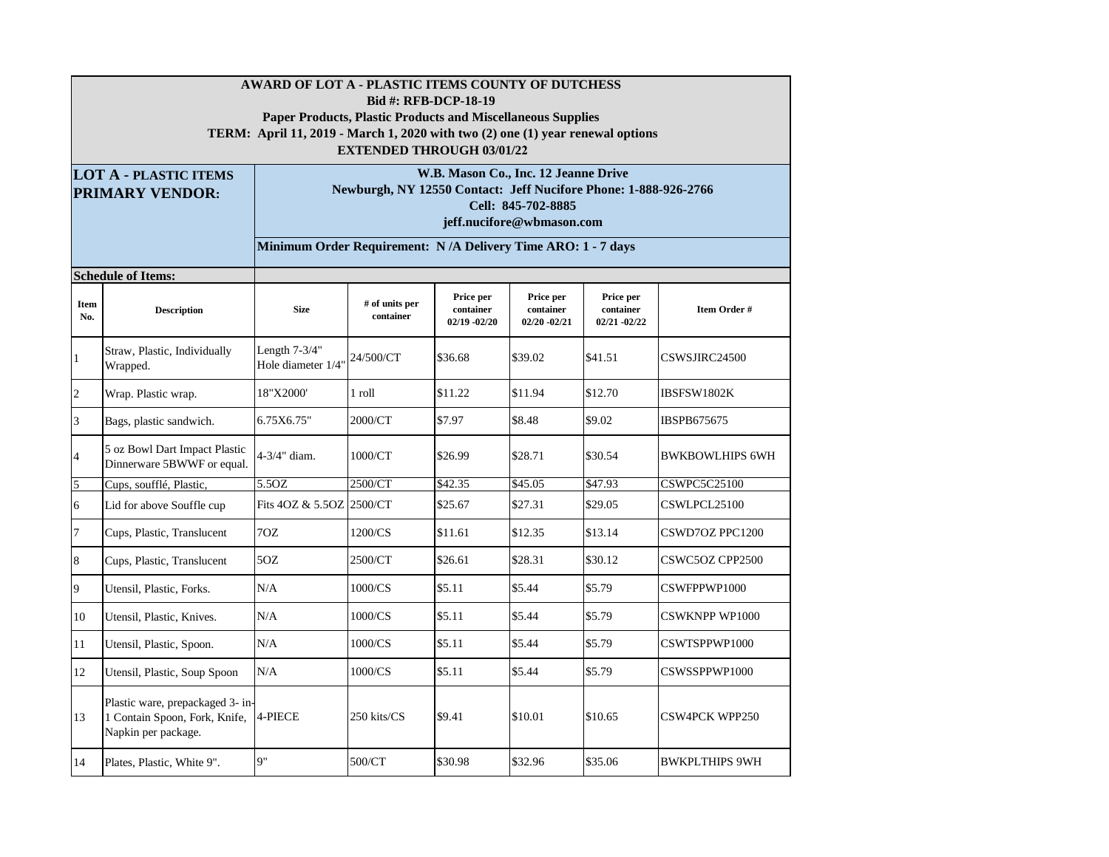|                | AWARD OF LOT A - PLASTIC ITEMS COUNTY OF DUTCHESS<br><b>Bid #: RFB-DCP-18-19</b><br><b>Paper Products, Plastic Products and Miscellaneous Supplies</b><br>TERM: April 11, 2019 - March 1, 2020 with two (2) one (1) year renewal options<br><b>EXTENDED THROUGH 03/01/22</b><br>W.B. Mason Co., Inc. 12 Jeanne Drive<br><b>LOT A - PLASTIC ITEMS</b> |                                                                                                                    |                             |                                           |                                           |                                           |                        |  |  |  |  |  |
|----------------|------------------------------------------------------------------------------------------------------------------------------------------------------------------------------------------------------------------------------------------------------------------------------------------------------------------------------------------------------|--------------------------------------------------------------------------------------------------------------------|-----------------------------|-------------------------------------------|-------------------------------------------|-------------------------------------------|------------------------|--|--|--|--|--|
|                | <b>PRIMARY VENDOR:</b>                                                                                                                                                                                                                                                                                                                               | Newburgh, NY 12550 Contact: Jeff Nucifore Phone: 1-888-926-2766<br>Cell: 845-702-8885<br>jeff.nucifore@wbmason.com |                             |                                           |                                           |                                           |                        |  |  |  |  |  |
|                |                                                                                                                                                                                                                                                                                                                                                      | Minimum Order Requirement: N/A Delivery Time ARO: 1 - 7 days                                                       |                             |                                           |                                           |                                           |                        |  |  |  |  |  |
|                | <b>Schedule of Items:</b>                                                                                                                                                                                                                                                                                                                            |                                                                                                                    |                             |                                           |                                           |                                           |                        |  |  |  |  |  |
| Item<br>No.    | <b>Description</b>                                                                                                                                                                                                                                                                                                                                   | <b>Size</b>                                                                                                        | # of units per<br>container | Price per<br>container<br>$02/19 - 02/20$ | Price per<br>container<br>$02/20 - 02/21$ | Price per<br>container<br>$02/21 - 02/22$ | Item Order #           |  |  |  |  |  |
| $\mathbf{1}$   | Straw, Plastic, Individually<br>Wrapped.                                                                                                                                                                                                                                                                                                             | Length $7-3/4$ "<br>Hole diameter 1/4"                                                                             | 24/500/CT                   | \$36.68                                   | \$39.02                                   | \$41.51                                   | CSWSJIRC24500          |  |  |  |  |  |
| $\overline{c}$ | Wrap. Plastic wrap.                                                                                                                                                                                                                                                                                                                                  | 18"X2000'                                                                                                          | 1 roll                      | \$11.22                                   | \$11.94                                   | \$12.70                                   | IBSFSW1802K            |  |  |  |  |  |
| 3              | Bags, plastic sandwich.                                                                                                                                                                                                                                                                                                                              | 6.75X6.75"                                                                                                         | 2000/CT                     | \$7.97                                    | \$8.48                                    | \$9.02                                    | IBSPB675675            |  |  |  |  |  |
| $\overline{4}$ | 5 oz Bowl Dart Impact Plastic<br>Dinnerware 5BWWF or equal.                                                                                                                                                                                                                                                                                          | 4-3/4" diam.                                                                                                       | 1000/CT                     | \$26.99                                   | \$28.71                                   | \$30.54                                   | <b>BWKBOWLHIPS 6WH</b> |  |  |  |  |  |
| 5              | Cups, soufflé, Plastic,                                                                                                                                                                                                                                                                                                                              | 5.5OZ                                                                                                              | 2500/CT                     | \$42.35                                   | \$45.05                                   | \$47.93                                   | <b>CSWPC5C25100</b>    |  |  |  |  |  |
| $\mathbf{6}$   | Lid for above Souffle cup                                                                                                                                                                                                                                                                                                                            | Fits 4OZ & 5.5OZ                                                                                                   | 2500/CT                     | \$25.67                                   | \$27.31                                   | \$29.05                                   | CSWLPCL25100           |  |  |  |  |  |
| $\overline{7}$ | Cups, Plastic, Translucent                                                                                                                                                                                                                                                                                                                           | 7OZ                                                                                                                | 1200/CS                     | \$11.61                                   | \$12.35                                   | \$13.14                                   | CSWD7OZ PPC1200        |  |  |  |  |  |
| $\bf 8$        | Cups, Plastic, Translucent                                                                                                                                                                                                                                                                                                                           | 50Z                                                                                                                | 2500/CT                     | \$26.61                                   | \$28.31                                   | \$30.12                                   | CSWC5OZ CPP2500        |  |  |  |  |  |
| 9              | Utensil, Plastic, Forks.                                                                                                                                                                                                                                                                                                                             | N/A                                                                                                                | 1000/CS                     | \$5.11                                    | \$5.44                                    | \$5.79                                    | CSWFPPWP1000           |  |  |  |  |  |
| 10             | Utensil, Plastic, Knives.                                                                                                                                                                                                                                                                                                                            | N/A                                                                                                                | 1000/CS                     | \$5.11                                    | \$5.44                                    | \$5.79                                    | <b>CSWKNPP WP1000</b>  |  |  |  |  |  |
| 11             | Utensil, Plastic, Spoon.                                                                                                                                                                                                                                                                                                                             | N/A                                                                                                                | 1000/CS                     | \$5.11                                    | \$5.44                                    | \$5.79                                    | CSWTSPPWP1000          |  |  |  |  |  |
| 12             | Utensil, Plastic, Soup Spoon                                                                                                                                                                                                                                                                                                                         | N/A                                                                                                                | 1000/CS                     | \$5.11                                    | \$5.44                                    | \$5.79                                    | CSWSSPPWP1000          |  |  |  |  |  |
| 13             | Plastic ware, prepackaged 3- in-<br>1 Contain Spoon, Fork, Knife,<br>Napkin per package.                                                                                                                                                                                                                                                             | 4-PIECE                                                                                                            | 250 kits/CS                 | \$9.41                                    | \$10.01                                   | \$10.65                                   | <b>CSW4PCK WPP250</b>  |  |  |  |  |  |
| 14             | Plates, Plastic, White 9".                                                                                                                                                                                                                                                                                                                           | 9"                                                                                                                 | 500/CT                      | \$30.98                                   | \$32.96                                   | \$35.06                                   | <b>BWKPLTHIPS 9WH</b>  |  |  |  |  |  |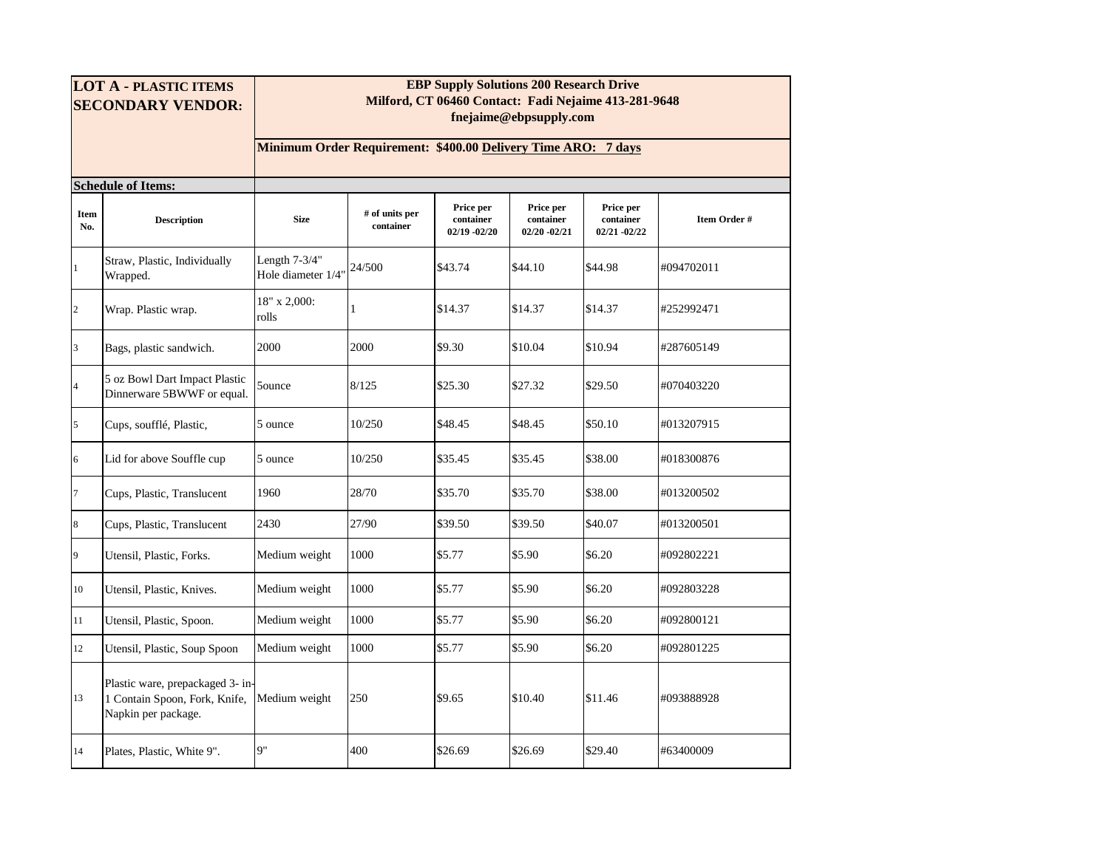| <b>LOT A - PLASTIC ITEMS</b><br><b>SECONDARY VENDOR:</b> |                                                                                          | <b>EBP Supply Solutions 200 Research Drive</b><br>Milford, CT 06460 Contact: Fadi Nejaime 413-281-9648<br>fnejaime@ebpsupply.com |                             |                                           |                                           |                                           |              |  |  |  |  |
|----------------------------------------------------------|------------------------------------------------------------------------------------------|----------------------------------------------------------------------------------------------------------------------------------|-----------------------------|-------------------------------------------|-------------------------------------------|-------------------------------------------|--------------|--|--|--|--|
|                                                          |                                                                                          | Minimum Order Requirement: \$400.00 Delivery Time ARO: 7 days                                                                    |                             |                                           |                                           |                                           |              |  |  |  |  |
|                                                          | <b>Schedule of Items:</b>                                                                |                                                                                                                                  |                             |                                           |                                           |                                           |              |  |  |  |  |
| <b>Item</b><br>No.                                       | <b>Description</b>                                                                       | <b>Size</b>                                                                                                                      | # of units per<br>container | Price per<br>container<br>$02/19 - 02/20$ | Price per<br>container<br>$02/20 - 02/21$ | Price per<br>container<br>$02/21 - 02/22$ | Item Order # |  |  |  |  |
| 1                                                        | Straw, Plastic, Individually<br>Wrapped.                                                 | Length 7-3/4"<br>Hole diameter 1/4"                                                                                              | 24/500                      | \$43.74                                   | \$44.10                                   | \$44.98                                   | #094702011   |  |  |  |  |
| $\overline{c}$                                           | Wrap. Plastic wrap.                                                                      | 18" x 2,000:<br>rolls                                                                                                            | 1                           | \$14.37                                   | \$14.37                                   | \$14.37                                   | #252992471   |  |  |  |  |
| 3                                                        | Bags, plastic sandwich.                                                                  | 2000                                                                                                                             | 2000                        | \$9.30                                    | \$10.04                                   | \$10.94                                   | #287605149   |  |  |  |  |
| $\overline{4}$                                           | 5 oz Bowl Dart Impact Plastic<br>Dinnerware 5BWWF or equal.                              | 5 <sub>ounce</sub>                                                                                                               | 8/125                       | \$25.30                                   | \$27.32                                   | \$29.50                                   | #070403220   |  |  |  |  |
| 5                                                        | Cups, soufflé, Plastic,                                                                  | 5 ounce                                                                                                                          | 10/250                      | \$48.45                                   | \$48.45                                   | \$50.10                                   | #013207915   |  |  |  |  |
| 6                                                        | Lid for above Souffle cup                                                                | 5 ounce                                                                                                                          | 10/250                      | \$35.45                                   | \$35.45                                   | \$38.00                                   | #018300876   |  |  |  |  |
| $\overline{7}$                                           | Cups, Plastic, Translucent                                                               | 1960                                                                                                                             | 28/70                       | \$35.70                                   | \$35.70                                   | \$38.00                                   | #013200502   |  |  |  |  |
| $\bf 8$                                                  | Cups, Plastic, Translucent                                                               | 2430                                                                                                                             | 27/90                       | \$39.50                                   | \$39.50                                   | \$40.07                                   | #013200501   |  |  |  |  |
| 9                                                        | Utensil, Plastic, Forks.                                                                 | Medium weight                                                                                                                    | 1000                        | \$5.77                                    | \$5.90                                    | \$6.20                                    | #092802221   |  |  |  |  |
| 10                                                       | Utensil, Plastic, Knives.                                                                | Medium weight                                                                                                                    | 1000                        | \$5.77                                    | \$5.90                                    | \$6.20                                    | #092803228   |  |  |  |  |
| 11                                                       | Utensil, Plastic, Spoon.                                                                 | Medium weight                                                                                                                    | 1000                        | \$5.77                                    | \$5.90                                    | \$6.20                                    | #092800121   |  |  |  |  |
| 12                                                       | Utensil, Plastic, Soup Spoon                                                             | Medium weight                                                                                                                    | 1000                        | \$5.77                                    | \$5.90                                    | \$6.20                                    | #092801225   |  |  |  |  |
| 13                                                       | Plastic ware, prepackaged 3- in-<br>1 Contain Spoon, Fork, Knife,<br>Napkin per package. | Medium weight                                                                                                                    | 250                         | \$9.65                                    | \$10.40                                   | \$11.46                                   | #093888928   |  |  |  |  |
| 14                                                       | Plates, Plastic, White 9".                                                               | 9"                                                                                                                               | 400                         | \$26.69                                   | \$26.69                                   | \$29.40                                   | #63400009    |  |  |  |  |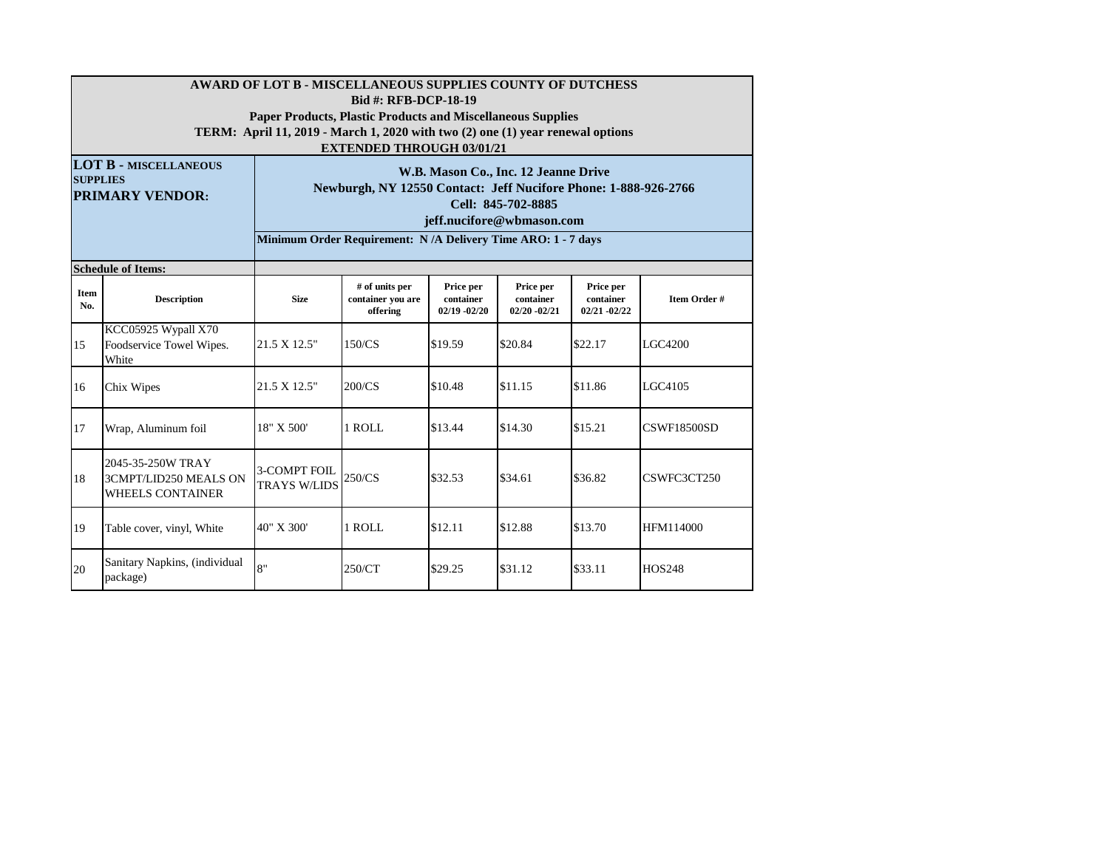|                                                                           | AWARD OF LOT B - MISCELLANEOUS SUPPLIES COUNTY OF DUTCHESS<br><b>Bid #: RFB-DCP-18-19</b>                                                            |                                                                                                                                                            |                                                              |                                           |                                           |                                           |                    |  |  |  |  |  |  |
|---------------------------------------------------------------------------|------------------------------------------------------------------------------------------------------------------------------------------------------|------------------------------------------------------------------------------------------------------------------------------------------------------------|--------------------------------------------------------------|-------------------------------------------|-------------------------------------------|-------------------------------------------|--------------------|--|--|--|--|--|--|
|                                                                           | <b>Paper Products, Plastic Products and Miscellaneous Supplies</b><br>TERM: April 11, 2019 - March 1, 2020 with two (2) one (1) year renewal options |                                                                                                                                                            |                                                              |                                           |                                           |                                           |                    |  |  |  |  |  |  |
|                                                                           | <b>EXTENDED THROUGH 03/01/21</b>                                                                                                                     |                                                                                                                                                            |                                                              |                                           |                                           |                                           |                    |  |  |  |  |  |  |
| <b>LOT B - MISCELLANEOUS</b><br><b>SUPPLIES</b><br><b>PRIMARY VENDOR:</b> |                                                                                                                                                      | W.B. Mason Co., Inc. 12 Jeanne Drive<br>Newburgh, NY 12550 Contact: Jeff Nucifore Phone: 1-888-926-2766<br>Cell: 845-702-8885<br>jeff.nucifore@wbmason.com |                                                              |                                           |                                           |                                           |                    |  |  |  |  |  |  |
|                                                                           |                                                                                                                                                      |                                                                                                                                                            | Minimum Order Requirement: N/A Delivery Time ARO: 1 - 7 days |                                           |                                           |                                           |                    |  |  |  |  |  |  |
|                                                                           | <b>Schedule of Items:</b>                                                                                                                            |                                                                                                                                                            |                                                              |                                           |                                           |                                           |                    |  |  |  |  |  |  |
| Item<br>No.                                                               | <b>Description</b>                                                                                                                                   | <b>Size</b>                                                                                                                                                | # of units per<br>container vou are<br>offering              | Price per<br>container<br>$02/19 - 02/20$ | Price per<br>container<br>$02/20 - 02/21$ | Price per<br>container<br>$02/21 - 02/22$ | Item Order #       |  |  |  |  |  |  |
| 15                                                                        | KCC05925 Wypall X70<br>Foodservice Towel Wipes.<br>White                                                                                             | 21.5 X 12.5"                                                                                                                                               | 150/CS                                                       | \$19.59                                   | \$20.84                                   | \$22.17                                   | LGC4200            |  |  |  |  |  |  |
| 16                                                                        | Chix Wipes                                                                                                                                           | 21.5 X 12.5"                                                                                                                                               | 200/CS                                                       | \$10.48                                   | \$11.15                                   | \$11.86                                   | LGC4105            |  |  |  |  |  |  |
| 17                                                                        | Wrap, Aluminum foil                                                                                                                                  | 18" X 500'                                                                                                                                                 | 1 ROLL                                                       | \$13.44                                   | \$14.30                                   | \$15.21                                   | <b>CSWF18500SD</b> |  |  |  |  |  |  |
| 18                                                                        | 2045-35-250W TRAY<br>3CMPT/LID250 MEALS ON<br><b>WHEELS CONTAINER</b>                                                                                | 3-COMPT FOIL<br><b>TRAYS W/LIDS</b>                                                                                                                        | 250/CS                                                       | \$32.53                                   | \$34.61                                   | \$36.82                                   | CSWFC3CT250        |  |  |  |  |  |  |
| 19                                                                        | Table cover, vinyl, White                                                                                                                            | 40" X 300'                                                                                                                                                 | 1 ROLL                                                       | \$12.11                                   | \$12.88                                   | \$13.70                                   | HFM114000          |  |  |  |  |  |  |
| 20                                                                        | Sanitary Napkins, (individual<br>package)                                                                                                            | $\mathsf{R}^{\mathsf{u}}$                                                                                                                                  | 250/CT                                                       | \$29.25                                   | \$31.12                                   | \$33.11                                   | <b>HOS248</b>      |  |  |  |  |  |  |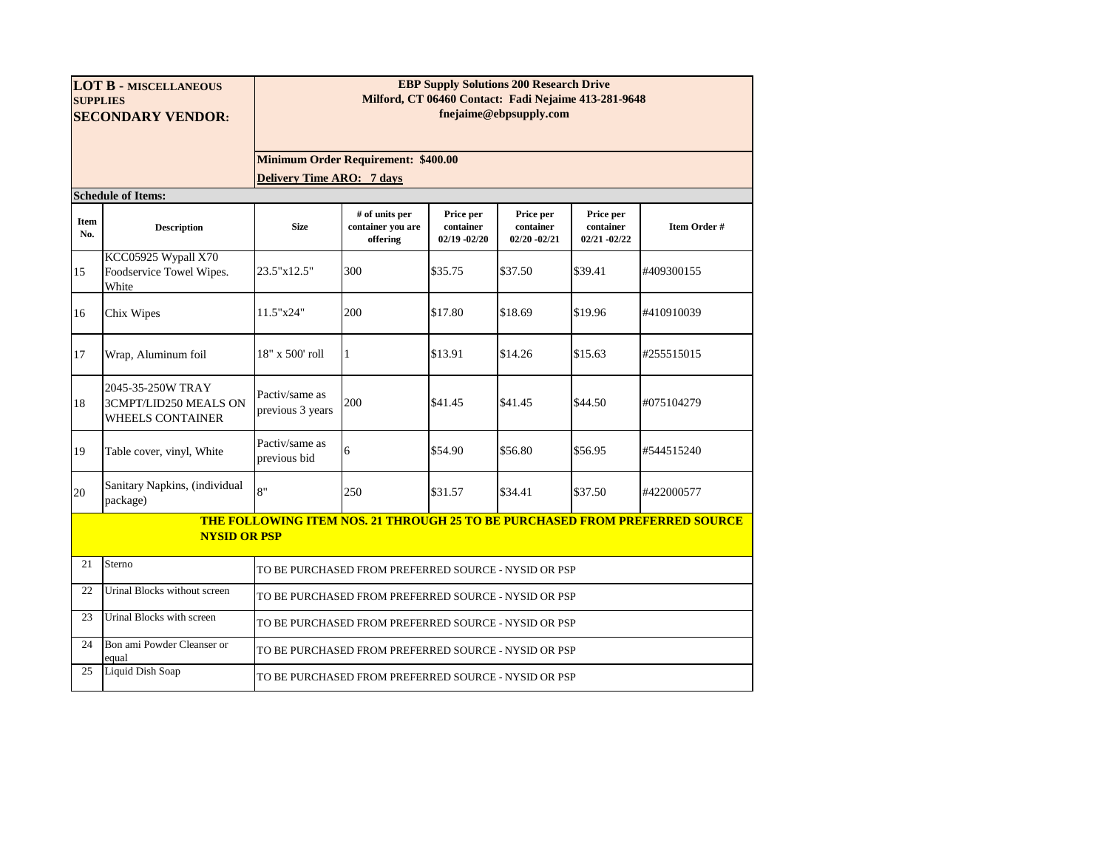| <b>LOT B - MISCELLANEOUS</b><br><b>SUPPLIES</b><br><b>SECONDARY VENDOR:</b> |                                                                | <b>EBP Supply Solutions 200 Research Drive</b><br>Milford, CT 06460 Contact: Fadi Nejaime 413-281-9648<br>fnejaime@ebpsupply.com |                                                      |                                           |                                           |                                           |                                                                                    |  |  |  |  |  |  |
|-----------------------------------------------------------------------------|----------------------------------------------------------------|----------------------------------------------------------------------------------------------------------------------------------|------------------------------------------------------|-------------------------------------------|-------------------------------------------|-------------------------------------------|------------------------------------------------------------------------------------|--|--|--|--|--|--|
|                                                                             |                                                                | <b>Minimum Order Requirement: \$400.00</b>                                                                                       |                                                      |                                           |                                           |                                           |                                                                                    |  |  |  |  |  |  |
|                                                                             | <b>Delivery Time ARO: 7 days</b>                               |                                                                                                                                  |                                                      |                                           |                                           |                                           |                                                                                    |  |  |  |  |  |  |
|                                                                             | <b>Schedule of Items:</b>                                      |                                                                                                                                  |                                                      |                                           |                                           |                                           |                                                                                    |  |  |  |  |  |  |
| Item<br>No.                                                                 | <b>Description</b>                                             | <b>Size</b>                                                                                                                      | # of units per<br>container you are<br>offering      | Price per<br>container<br>$02/19 - 02/20$ | Price per<br>container<br>$02/20 - 02/21$ | Price per<br>container<br>$02/21 - 02/22$ | Item Order #                                                                       |  |  |  |  |  |  |
| 15                                                                          | KCC05925 Wypall X70<br>Foodservice Towel Wipes.<br>White       | 23.5"x12.5"                                                                                                                      | 300                                                  | \$35.75                                   | \$37.50                                   | \$39.41                                   | #409300155                                                                         |  |  |  |  |  |  |
| 16                                                                          | Chix Wipes                                                     | 11.5"x24"                                                                                                                        | 200                                                  | \$17.80                                   | \$18.69                                   | \$19.96                                   | #410910039                                                                         |  |  |  |  |  |  |
| 17                                                                          | Wrap, Aluminum foil                                            | 18" x 500' roll                                                                                                                  | 1                                                    | \$13.91                                   | \$14.26                                   | \$15.63                                   | #255515015                                                                         |  |  |  |  |  |  |
| 18                                                                          | 2045-35-250W TRAY<br>3CMPT/LID250 MEALS ON<br>WHEELS CONTAINER | Pactiv/same as<br>previous 3 years                                                                                               | 200                                                  | \$41.45                                   | \$41.45                                   | \$44.50                                   | #075104279                                                                         |  |  |  |  |  |  |
| 19                                                                          | Table cover, vinyl, White                                      | Pactiv/same as<br>previous bid                                                                                                   | 6                                                    | \$54.90                                   | \$56.80                                   | \$56.95                                   | #544515240                                                                         |  |  |  |  |  |  |
| 20                                                                          | Sanitary Napkins, (individual<br>package)                      | $\mathbf{R}^{\mathbf{u}}$                                                                                                        | 250                                                  | \$31.57                                   | \$34.41                                   | \$37.50                                   | #422000577                                                                         |  |  |  |  |  |  |
|                                                                             | <b>NYSID OR PSP</b>                                            |                                                                                                                                  |                                                      |                                           |                                           |                                           | <b>THE FOLLOWING ITEM NOS. 21 THROUGH 25 TO BE PURCHASED FROM PREFERRED SOURCE</b> |  |  |  |  |  |  |
| 21                                                                          | Sterno                                                         |                                                                                                                                  | TO BE PURCHASED FROM PREFERRED SOURCE - NYSID OR PSP |                                           |                                           |                                           |                                                                                    |  |  |  |  |  |  |
| 22                                                                          | Urinal Blocks without screen                                   |                                                                                                                                  | TO BE PURCHASED FROM PREFERRED SOURCE - NYSID OR PSP |                                           |                                           |                                           |                                                                                    |  |  |  |  |  |  |
| 23                                                                          | Urinal Blocks with screen                                      |                                                                                                                                  | TO BE PURCHASED FROM PREFERRED SOURCE - NYSID OR PSP |                                           |                                           |                                           |                                                                                    |  |  |  |  |  |  |
| 24                                                                          | Bon ami Powder Cleanser or<br>equal                            |                                                                                                                                  | TO BE PURCHASED FROM PREFERRED SOURCE - NYSID OR PSP |                                           |                                           |                                           |                                                                                    |  |  |  |  |  |  |
| 25                                                                          | Liquid Dish Soap                                               |                                                                                                                                  | TO BE PURCHASED FROM PREFERRED SOURCE - NYSID OR PSP |                                           |                                           |                                           |                                                                                    |  |  |  |  |  |  |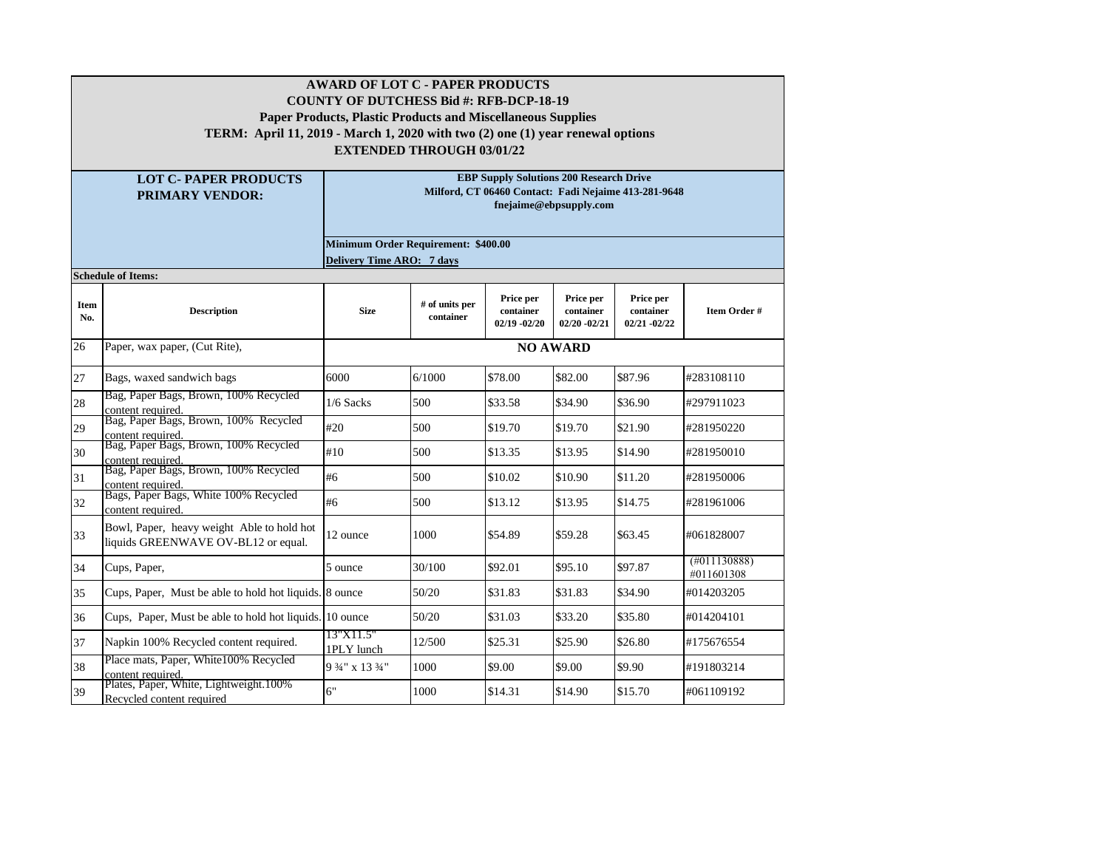|                    | <b>AWARD OF LOT C - PAPER PRODUCTS</b><br><b>COUNTY OF DUTCHESS Bid #: RFB-DCP-18-19</b><br><b>Paper Products, Plastic Products and Miscellaneous Supplies</b><br>TERM: April 11, 2019 - March 1, 2020 with two (2) one (1) year renewal options<br><b>EXTENDED THROUGH 03/01/22</b> |                                     |                             |                                                |                                           |                                                      |                            |  |  |  |  |  |
|--------------------|--------------------------------------------------------------------------------------------------------------------------------------------------------------------------------------------------------------------------------------------------------------------------------------|-------------------------------------|-----------------------------|------------------------------------------------|-------------------------------------------|------------------------------------------------------|----------------------------|--|--|--|--|--|
|                    | <b>LOT C- PAPER PRODUCTS</b><br><b>PRIMARY VENDOR:</b>                                                                                                                                                                                                                               |                                     |                             | <b>EBP Supply Solutions 200 Research Drive</b> | fnejaime@ebpsupply.com                    | Milford, CT 06460 Contact: Fadi Nejaime 413-281-9648 |                            |  |  |  |  |  |
|                    |                                                                                                                                                                                                                                                                                      | Minimum Order Requirement: \$400.00 |                             |                                                |                                           |                                                      |                            |  |  |  |  |  |
|                    | <b>Schedule of Items:</b>                                                                                                                                                                                                                                                            | <b>Delivery Time ARO: 7 days</b>    |                             |                                                |                                           |                                                      |                            |  |  |  |  |  |
| <b>Item</b><br>No. | <b>Description</b>                                                                                                                                                                                                                                                                   | <b>Size</b>                         | # of units per<br>container | Price per<br>container<br>$02/19 - 02/20$      | Price per<br>container<br>$02/20 - 02/21$ | Price per<br>container<br>$02/21 - 02/22$            | Item Order #               |  |  |  |  |  |
| 26                 | Paper, wax paper, (Cut Rite),                                                                                                                                                                                                                                                        | <b>NO AWARD</b>                     |                             |                                                |                                           |                                                      |                            |  |  |  |  |  |
| 27                 | Bags, waxed sandwich bags                                                                                                                                                                                                                                                            | 6000                                | 6/1000                      | \$78.00                                        | \$82.00                                   | \$87.96                                              | #283108110                 |  |  |  |  |  |
| 28                 | Bag, Paper Bags, Brown, 100% Recycled<br>content required.                                                                                                                                                                                                                           | $1/6$ Sacks                         | 500                         | \$33.58                                        | \$34.90                                   | \$36.90                                              | #297911023                 |  |  |  |  |  |
| 29                 | Bag, Paper Bags, Brown, 100% Recycled<br>content required.<br>Bag, Paper Bags, Brown, 100% Recycled                                                                                                                                                                                  | #20                                 | 500                         | \$19.70                                        | \$19.70                                   | \$21.90                                              | #281950220                 |  |  |  |  |  |
| 30                 | content required.                                                                                                                                                                                                                                                                    | #10                                 | 500                         | \$13.35                                        | \$13.95                                   | \$14.90                                              | #281950010                 |  |  |  |  |  |
| 31                 | Bag, Paper Bags, Brown, 100% Recycled<br>content required.                                                                                                                                                                                                                           | #6                                  | 500                         | \$10.02                                        | \$10.90                                   | \$11.20                                              | #281950006                 |  |  |  |  |  |
| 32                 | Bags, Paper Bags, White 100% Recycled<br>content required.                                                                                                                                                                                                                           | #6                                  | 500                         | \$13.12                                        | \$13.95                                   | \$14.75                                              | #281961006                 |  |  |  |  |  |
| 33                 | Bowl, Paper, heavy weight Able to hold hot<br>liquids GREENWAVE OV-BL12 or equal.                                                                                                                                                                                                    | 12 ounce                            | 1000                        | \$54.89                                        | \$59.28                                   | \$63.45                                              | #061828007                 |  |  |  |  |  |
| 34                 | Cups, Paper,                                                                                                                                                                                                                                                                         | 5 ounce                             | 30/100                      | \$92.01                                        | \$95.10                                   | \$97.87                                              | (H011130888)<br>#011601308 |  |  |  |  |  |
| 35                 | Cups, Paper, Must be able to hold hot liquids. 8 ounce                                                                                                                                                                                                                               |                                     | 50/20                       | \$31.83                                        | \$31.83                                   | \$34.90                                              | #014203205                 |  |  |  |  |  |
| 36                 | Cups, Paper, Must be able to hold hot liquids. 10 ounce                                                                                                                                                                                                                              |                                     | 50/20                       | \$31.03                                        | \$33.20                                   | \$35.80                                              | #014204101                 |  |  |  |  |  |
| 37                 | Napkin 100% Recycled content required.                                                                                                                                                                                                                                               | 13"X11.5"<br>1PLY lunch             | 12/500                      | \$25.31                                        | \$25.90                                   | \$26.80                                              | #175676554                 |  |  |  |  |  |
| 38                 | Place mats, Paper, White100% Recycled<br>content required.<br>Plates, Paper, White, Lightweight.100%                                                                                                                                                                                 | 9 3/4" x 13 3/4"                    | 1000                        | \$9.00                                         | \$9.00                                    | \$9.90                                               | #191803214                 |  |  |  |  |  |
| 39                 | Recycled content required                                                                                                                                                                                                                                                            | 6"                                  | 1000                        | \$14.31                                        | \$14.90                                   | \$15.70                                              | #061109192                 |  |  |  |  |  |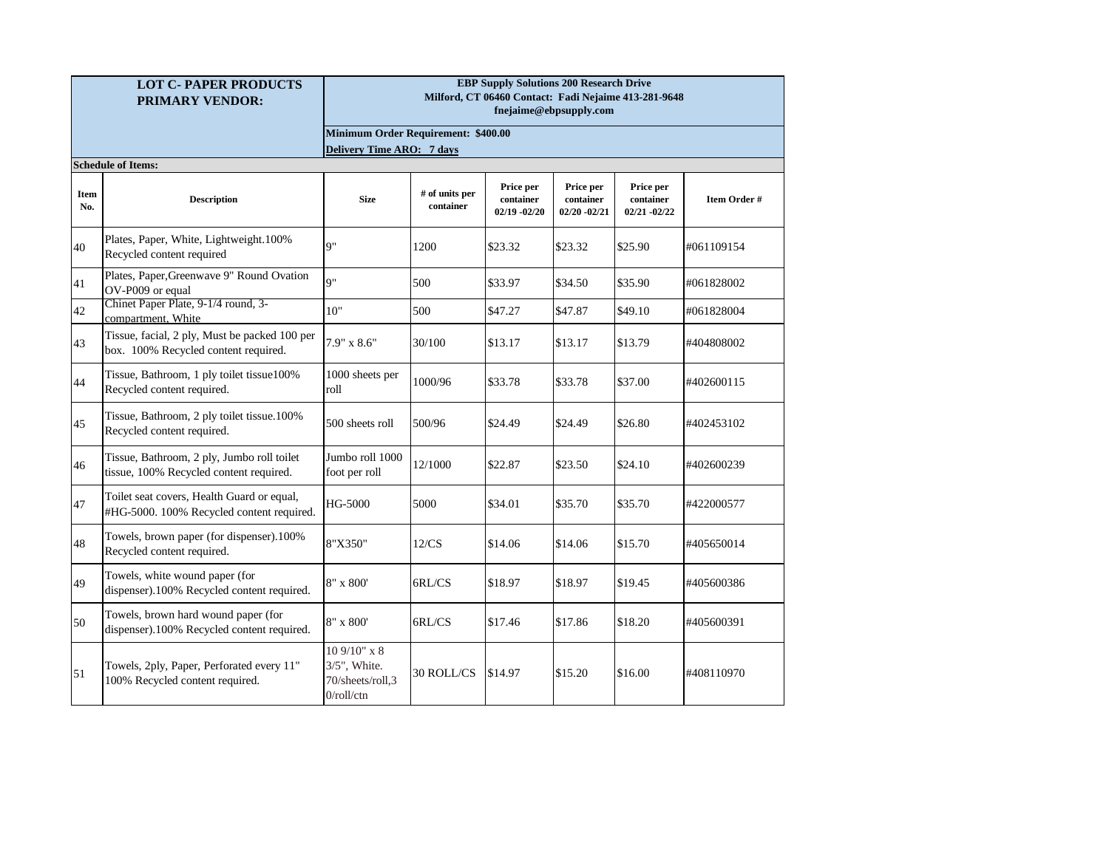|                    | <b>LOT C- PAPER PRODUCTS</b><br><b>PRIMARY VENDOR:</b>                                  | <b>EBP Supply Solutions 200 Research Drive</b><br>Milford, CT 06460 Contact: Fadi Nejaime 413-281-9648<br>fnejaime@ebpsupply.com |                             |                                           |                                           |                                           |              |  |  |
|--------------------|-----------------------------------------------------------------------------------------|----------------------------------------------------------------------------------------------------------------------------------|-----------------------------|-------------------------------------------|-------------------------------------------|-------------------------------------------|--------------|--|--|
|                    |                                                                                         | <b>Minimum Order Requirement: \$400.00</b>                                                                                       |                             |                                           |                                           |                                           |              |  |  |
|                    |                                                                                         | <b>Delivery Time ARO: 7 days</b>                                                                                                 |                             |                                           |                                           |                                           |              |  |  |
| <b>Item</b><br>No. | <b>Schedule of Items:</b><br><b>Description</b>                                         | <b>Size</b>                                                                                                                      | # of units per<br>container | Price per<br>container<br>$02/19 - 02/20$ | Price per<br>container<br>$02/20 - 02/21$ | Price per<br>container<br>$02/21 - 02/22$ | Item Order # |  |  |
| 40                 | Plates, Paper, White, Lightweight.100%<br>Recycled content required                     | Q"                                                                                                                               | 1200                        | \$23.32                                   | \$23.32                                   | \$25.90                                   | #061109154   |  |  |
| 41                 | Plates, Paper, Greenwave 9" Round Ovation<br>OV-P009 or equal                           | Q''                                                                                                                              | 500                         | \$33.97                                   | \$34.50                                   | \$35.90                                   | #061828002   |  |  |
| 42                 | Chinet Paper Plate, 9-1/4 round, 3-<br>compartment, White                               | 10"                                                                                                                              | 500                         | \$47.27                                   | \$47.87                                   | \$49.10                                   | #061828004   |  |  |
| 43                 | Tissue, facial, 2 ply, Must be packed 100 per<br>box. 100% Recycled content required.   | $7.9" \times 8.6"$                                                                                                               | 30/100                      | \$13.17                                   | \$13.17                                   | \$13.79                                   | #404808002   |  |  |
| 44                 | Tissue, Bathroom, 1 ply toilet tissue100%<br>Recycled content required.                 | 1000 sheets per<br>roll                                                                                                          | 1000/96                     | \$33.78                                   | \$33.78                                   | \$37.00                                   | #402600115   |  |  |
| 45                 | Tissue, Bathroom, 2 ply toilet tissue.100%<br>Recycled content required.                | 500 sheets roll                                                                                                                  | 500/96                      | \$24.49                                   | \$24.49                                   | \$26.80                                   | #402453102   |  |  |
| 46                 | Tissue, Bathroom, 2 ply, Jumbo roll toilet<br>tissue, 100% Recycled content required.   | Jumbo roll 1000<br>foot per roll                                                                                                 | 12/1000                     | \$22.87                                   | \$23.50                                   | \$24.10                                   | #402600239   |  |  |
| 47                 | Toilet seat covers, Health Guard or equal,<br>#HG-5000. 100% Recycled content required. | HG-5000                                                                                                                          | 5000                        | \$34.01                                   | \$35.70                                   | \$35.70                                   | #422000577   |  |  |
| 48                 | Towels, brown paper (for dispenser).100%<br>Recycled content required.                  | 8"X350"                                                                                                                          | 12/CS                       | \$14.06                                   | \$14.06                                   | \$15.70                                   | #405650014   |  |  |
| 49                 | Towels, white wound paper (for<br>dispenser).100% Recycled content required.            | 8" x 800'                                                                                                                        | 6RL/CS                      | \$18.97                                   | \$18.97                                   | \$19.45                                   | #405600386   |  |  |
| 50                 | Towels, brown hard wound paper (for<br>dispenser).100% Recycled content required.       | $8"$ x $800"$                                                                                                                    | 6RL/CS                      | \$17.46                                   | \$17.86                                   | \$18.20                                   | #405600391   |  |  |
| 51                 | Towels, 2ply, Paper, Perforated every 11"<br>100% Recycled content required.            | 10 9/10" x 8<br>3/5", White.<br>70/sheets/roll,3<br>$0$ /roll/ctn                                                                | <b>30 ROLL/CS</b>           | \$14.97                                   | \$15.20                                   | \$16.00                                   | #408110970   |  |  |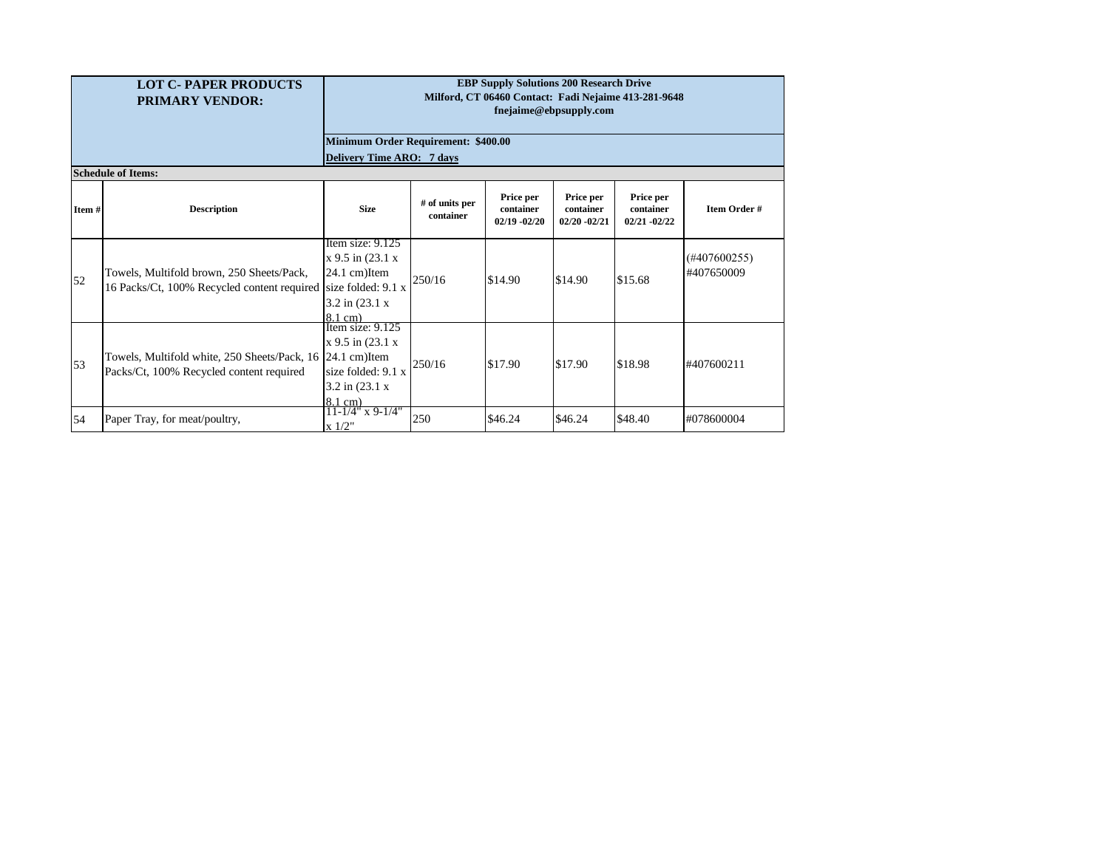| <b>LOT C-PAPER PRODUCTS</b><br><b>PRIMARY VENDOR:</b> |                                                                                                             | <b>EBP Supply Solutions 200 Research Drive</b><br>Milford, CT 06460 Contact: Fadi Nejaime 413-281-9648<br>fnejaime@ebpsupply.com  |                             |                                           |                                           |                                           |                               |  |
|-------------------------------------------------------|-------------------------------------------------------------------------------------------------------------|-----------------------------------------------------------------------------------------------------------------------------------|-----------------------------|-------------------------------------------|-------------------------------------------|-------------------------------------------|-------------------------------|--|
|                                                       |                                                                                                             | Minimum Order Requirement: \$400.00<br>Delivery Time ARO: 7 days                                                                  |                             |                                           |                                           |                                           |                               |  |
|                                                       | <b>Schedule of Items:</b>                                                                                   |                                                                                                                                   |                             |                                           |                                           |                                           |                               |  |
| Item#                                                 | <b>Description</b>                                                                                          | <b>Size</b>                                                                                                                       | # of units per<br>container | Price per<br>container<br>$02/19 - 02/20$ | Price per<br>container<br>$02/20 - 02/21$ | Price per<br>container<br>$02/21 - 02/22$ | <b>Item Order#</b>            |  |
| 52                                                    | Towels, Multifold brown, 250 Sheets/Pack,<br>16 Packs/Ct, 100% Recycled content required size folded: 9.1 x | Item size: 9.125<br>$x 9.5$ in $(23.1 x)$<br>$24.1$ cm) Item<br>$3.2$ in $(23.1 \text{ x})$<br>$8.1$ cm)                          | 250/16                      | \$14.90                                   | \$14.90                                   | \$15.68                                   | $(\#407600255)$<br>#407650009 |  |
| 53                                                    | Towels, Multifold white, 250 Sheets/Pack, 16<br>Packs/Ct, 100% Recycled content required                    | Item size: $9.125$<br>$x$ 9.5 in (23.1 $x$ )<br>$24.1$ cm) Item<br>size folded: $9.1 x$<br>$3.2$ in $(23.1 \text{ x})$<br>8.1 cm) | 250/16                      | \$17.90                                   | \$17.90                                   | \$18.98                                   | #407600211                    |  |
| 54                                                    | Paper Tray, for meat/poultry,                                                                               | $11 - 1/4$ " x 9-1/4"<br>x 1/2"                                                                                                   | 250                         | \$46.24                                   | \$46.24                                   | \$48.40                                   | #078600004                    |  |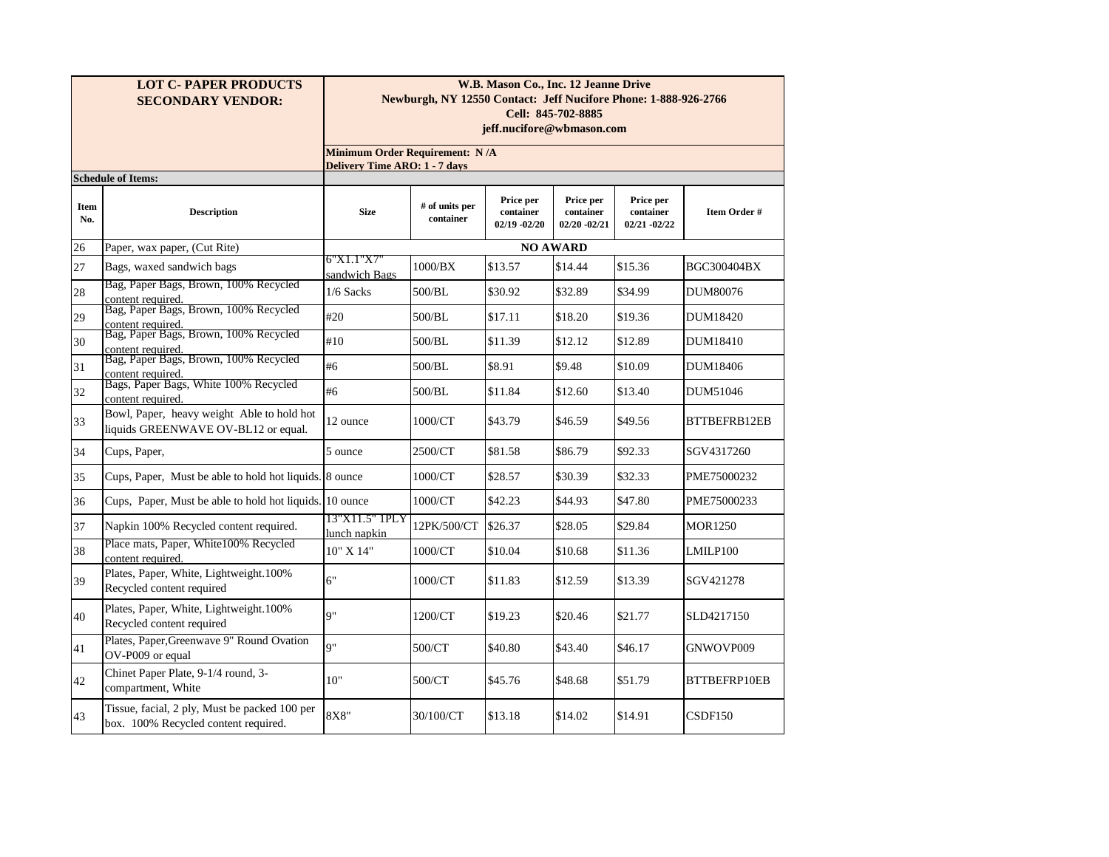|             | <b>LOT C- PAPER PRODUCTS</b><br><b>SECONDARY VENDOR:</b>                                            | W.B. Mason Co., Inc. 12 Jeanne Drive<br>Newburgh, NY 12550 Contact: Jeff Nucifore Phone: 1-888-926-2766<br>Cell: 845-702-8885 |                                                                        |                                           |                                           |                                        |              |  |  |  |
|-------------|-----------------------------------------------------------------------------------------------------|-------------------------------------------------------------------------------------------------------------------------------|------------------------------------------------------------------------|-------------------------------------------|-------------------------------------------|----------------------------------------|--------------|--|--|--|
|             |                                                                                                     | jeff.nucifore@wbmason.com                                                                                                     |                                                                        |                                           |                                           |                                        |              |  |  |  |
|             |                                                                                                     |                                                                                                                               | Minimum Order Requirement: N/A<br><b>Delivery Time ARO: 1 - 7 days</b> |                                           |                                           |                                        |              |  |  |  |
|             | <b>Schedule of Items:</b>                                                                           |                                                                                                                               |                                                                        |                                           |                                           |                                        |              |  |  |  |
| Item<br>No. | <b>Description</b>                                                                                  | <b>Size</b>                                                                                                                   | # of units per<br>container                                            | Price per<br>container<br>$02/19 - 02/20$ | Price per<br>container<br>$02/20 - 02/21$ | Price per<br>container<br>02/21 -02/22 | Item Order # |  |  |  |
| 26          | Paper, wax paper, (Cut Rite)                                                                        |                                                                                                                               |                                                                        |                                           | <b>NO AWARD</b>                           |                                        |              |  |  |  |
| 27          | Bags, waxed sandwich bags                                                                           | 6"X1.1"X7"<br>sandwich Bags                                                                                                   | $1000 \text{/BX}$                                                      | \$13.57                                   | \$14.44                                   | \$15.36                                | BGC300404BX  |  |  |  |
| 28          | Bag, Paper Bags, Brown, 100% Recycled<br>content required.<br>Bag, Paper Bags, Brown, 100% Recycled | $1/6$ Sacks                                                                                                                   | 500/BL                                                                 | \$30.92                                   | \$32.89                                   | \$34.99                                | DUM80076     |  |  |  |
| 29          | content required.                                                                                   | #20                                                                                                                           | 500/BL                                                                 | \$17.11                                   | \$18.20                                   | \$19.36                                | DUM18420     |  |  |  |
| 30          | Bag, Paper Bags, Brown, 100% Recycled<br>content required.<br>Bag, Paper Bags, Brown, 100% Recycled | #10                                                                                                                           | 500/BL                                                                 | \$11.39                                   | \$12.12                                   | \$12.89                                | DUM18410     |  |  |  |
| 31          | content required.<br>Bags, Paper Bags, White 100% Recycled                                          | #6                                                                                                                            | 500/BL                                                                 | \$8.91                                    | \$9.48                                    | \$10.09                                | DUM18406     |  |  |  |
| 32          | content required.                                                                                   | #6                                                                                                                            | 500/BL                                                                 | \$11.84                                   | \$12.60                                   | \$13.40                                | DUM51046     |  |  |  |
| 33          | Bowl, Paper, heavy weight Able to hold hot<br>liquids GREENWAVE OV-BL12 or equal.                   | 12 ounce                                                                                                                      | 1000/CT                                                                | \$43.79                                   | \$46.59                                   | \$49.56                                | BTTBEFRB12EB |  |  |  |
| 34          | Cups, Paper,                                                                                        | 5 ounce                                                                                                                       | 2500/CT                                                                | \$81.58                                   | \$86.79                                   | \$92.33                                | SGV4317260   |  |  |  |
| 35          | Cups, Paper, Must be able to hold hot liquids. 8 ounce                                              |                                                                                                                               | 1000/CT                                                                | \$28.57                                   | \$30.39                                   | \$32.33                                | PME75000232  |  |  |  |
| 36          | Cups, Paper, Must be able to hold hot liquids. 10 ounce                                             |                                                                                                                               | 1000/CT                                                                | \$42.23                                   | \$44.93                                   | \$47.80                                | PME75000233  |  |  |  |
| 37          | Napkin 100% Recycled content required.                                                              | 13"X11.5" 1PLY<br>lunch napkin                                                                                                | 12PK/500/CT                                                            | \$26.37                                   | \$28.05                                   | \$29.84                                | MOR1250      |  |  |  |
| 38          | Place mats, Paper, White100% Recycled<br>content required.                                          | 10" X 14"                                                                                                                     | 1000/CT                                                                | \$10.04                                   | \$10.68                                   | \$11.36                                | LMILP100     |  |  |  |
| 39          | Plates, Paper, White, Lightweight.100%<br>Recycled content required                                 | 6"                                                                                                                            | 1000/CT                                                                | \$11.83                                   | \$12.59                                   | \$13.39                                | SGV421278    |  |  |  |
| 40          | Plates, Paper, White, Lightweight.100%<br>Recycled content required                                 | Q"                                                                                                                            | 1200/CT                                                                | \$19.23                                   | \$20.46                                   | \$21.77                                | SLD4217150   |  |  |  |
| 41          | Plates, Paper, Greenwave 9" Round Ovation<br>OV-P009 or equal                                       | Q''                                                                                                                           | 500/CT                                                                 | \$40.80                                   | \$43.40                                   | \$46.17                                | GNWOVP009    |  |  |  |
| 42          | Chinet Paper Plate, 9-1/4 round, 3-<br>compartment, White                                           | 10"                                                                                                                           | 500/CT                                                                 | \$45.76                                   | \$48.68                                   | \$51.79                                | BTTBEFRP10EB |  |  |  |
| 43          | Tissue, facial, 2 ply, Must be packed 100 per<br>box. 100% Recycled content required.               | 8X8"                                                                                                                          | 30/100/CT                                                              | \$13.18                                   | \$14.02                                   | \$14.91                                | CSDF150      |  |  |  |